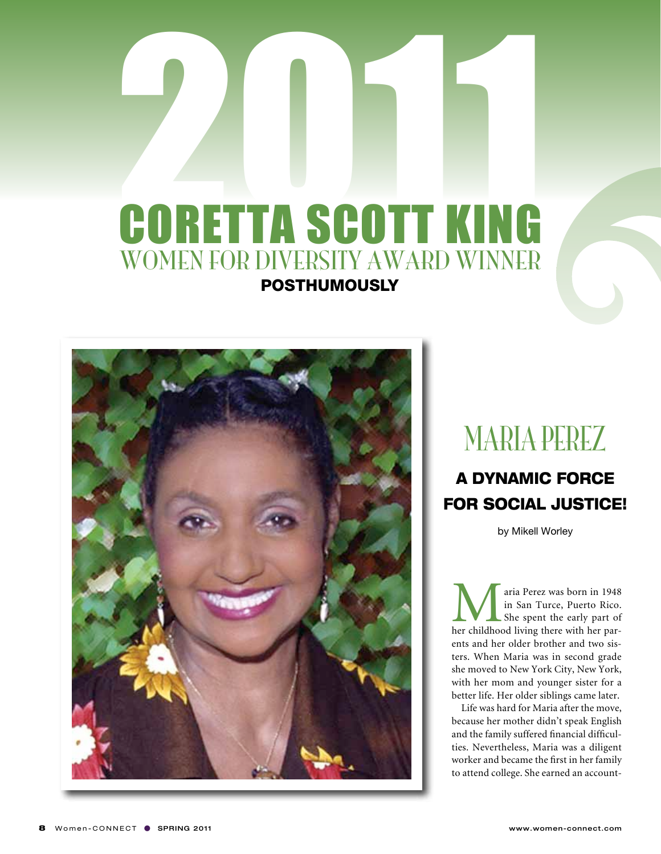## **2011 CORETTA SCOTT KING** WOMEN FOR DIVERSITY AWARD WINNER **POSTHUMOUSLY**



### MARIA PEREZ

### A Dynamic Force FOR SOCIAL JUSTICE!

by Mikell Worley

**M**aria Perez was born in 1948<br>
in San Turce, Puerto Rico.<br>
She spent the early part of<br>
her childhood living there with her parin San Turce, Puerto Rico. She spent the early part of ents and her older brother and two sisters. When Maria was in second grade she moved to New York City, New York, with her mom and younger sister for a better life. Her older siblings came later.

Life was hard for Maria after the move, because her mother didn't speak English and the family suffered financial difficulties. Nevertheless, Maria was a diligent worker and became the first in her family to attend college. She earned an account-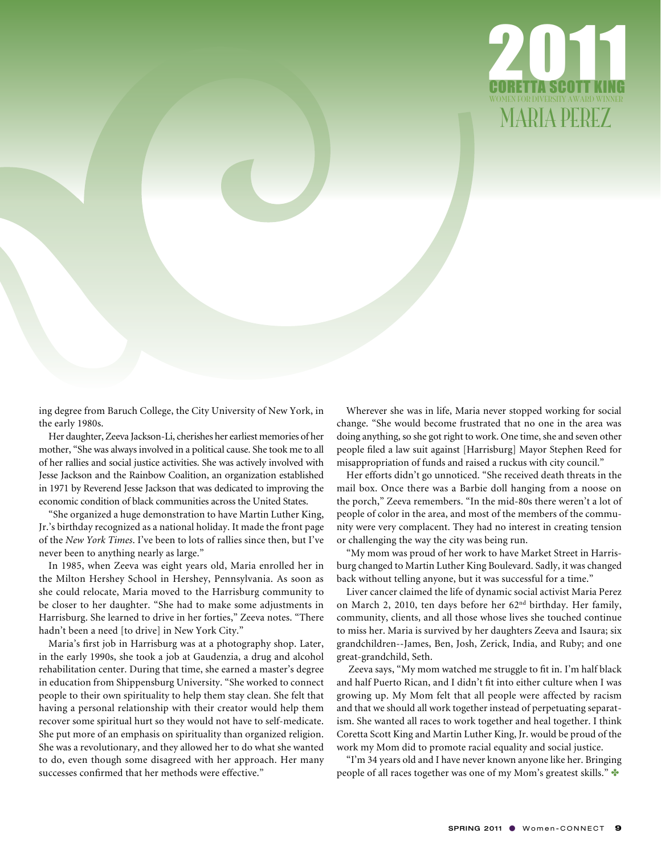

ing degree from Baruch College, the City University of New York, in the early 1980s.

Her daughter, Zeeva Jackson-Li, cherishes her earliest memories of her mother, "She was always involved in a political cause. She took me to all of her rallies and social justice activities. She was actively involved with Jesse Jackson and the Rainbow Coalition, an organization established in 1971 by Reverend Jesse Jackson that was dedicated to improving the economic condition of black communities across the United States.

"She organized a huge demonstration to have Martin Luther King, Jr.'s birthday recognized as a national holiday. It made the front page of the *New York Times*. I've been to lots of rallies since then, but I've never been to anything nearly as large."

In 1985, when Zeeva was eight years old, Maria enrolled her in the Milton Hershey School in Hershey, Pennsylvania. As soon as she could relocate, Maria moved to the Harrisburg community to be closer to her daughter. "She had to make some adjustments in Harrisburg. She learned to drive in her forties," Zeeva notes. "There hadn't been a need [to drive] in New York City."

Maria's first job in Harrisburg was at a photography shop. Later, in the early 1990s, she took a job at Gaudenzia, a drug and alcohol rehabilitation center. During that time, she earned a master's degree in education from Shippensburg University. "She worked to connect people to their own spirituality to help them stay clean. She felt that having a personal relationship with their creator would help them recover some spiritual hurt so they would not have to self-medicate. She put more of an emphasis on spirituality than organized religion. She was a revolutionary, and they allowed her to do what she wanted to do, even though some disagreed with her approach. Her many successes confirmed that her methods were effective."

Wherever she was in life, Maria never stopped working for social change. "She would become frustrated that no one in the area was doing anything, so she got right to work. One time, she and seven other people filed a law suit against [Harrisburg] Mayor Stephen Reed for misappropriation of funds and raised a ruckus with city council."

Her efforts didn't go unnoticed. "She received death threats in the mail box. Once there was a Barbie doll hanging from a noose on the porch," Zeeva remembers. "In the mid-80s there weren't a lot of people of color in the area, and most of the members of the community were very complacent. They had no interest in creating tension or challenging the way the city was being run.

"My mom was proud of her work to have Market Street in Harrisburg changed to Martin Luther King Boulevard. Sadly, it was changed back without telling anyone, but it was successful for a time."

Liver cancer claimed the life of dynamic social activist Maria Perez on March 2, 2010, ten days before her 62nd birthday. Her family, community, clients, and all those whose lives she touched continue to miss her. Maria is survived by her daughters Zeeva and Isaura; six grandchildren--James, Ben, Josh, Zerick, India, and Ruby; and one great-grandchild, Seth.

Zeeva says, "My mom watched me struggle to fit in. I'm half black and half Puerto Rican, and I didn't fit into either culture when I was growing up. My Mom felt that all people were affected by racism and that we should all work together instead of perpetuating separatism. She wanted all races to work together and heal together. I think Coretta Scott King and Martin Luther King, Jr. would be proud of the work my Mom did to promote racial equality and social justice.

"I'm 34 years old and I have never known anyone like her. Bringing people of all races together was one of my Mom's greatest skills."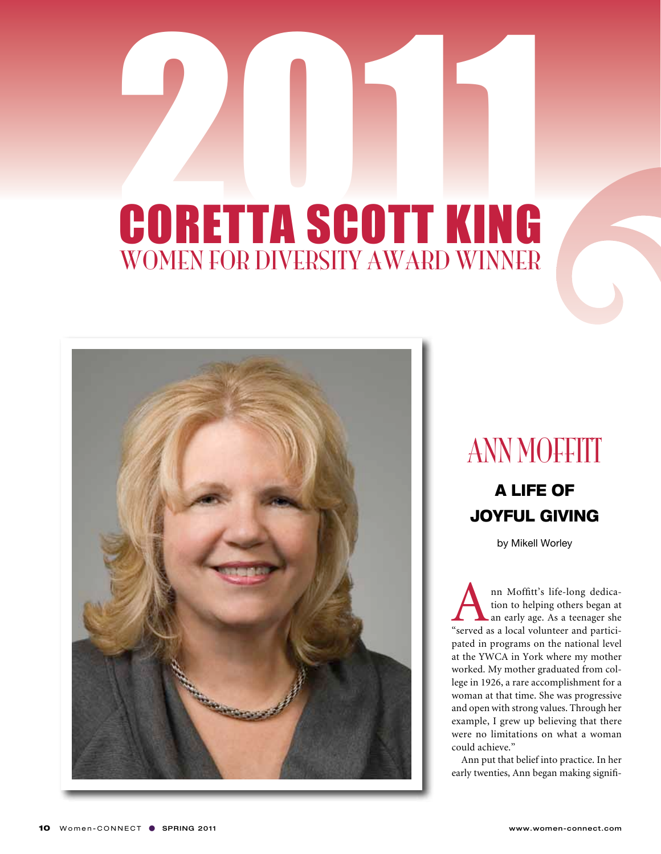

### **ANN MOFFITT**

### A life of joyful giving

by Mikell Worley

Ann Moffitt's life-long dedica-<br>tion to helping others began at<br>an early age. As a teenager she<br>"served as a local volunteer and particition to helping others began at an early age. As a teenager she pated in programs on the national level at the YWCA in York where my mother worked. My mother graduated from college in 1926, a rare accomplishment for a woman at that time. She was progressive and open with strong values. Through her example, I grew up believing that there were no limitations on what a woman could achieve."

Ann put that belief into practice. In her early twenties, Ann began making signifi-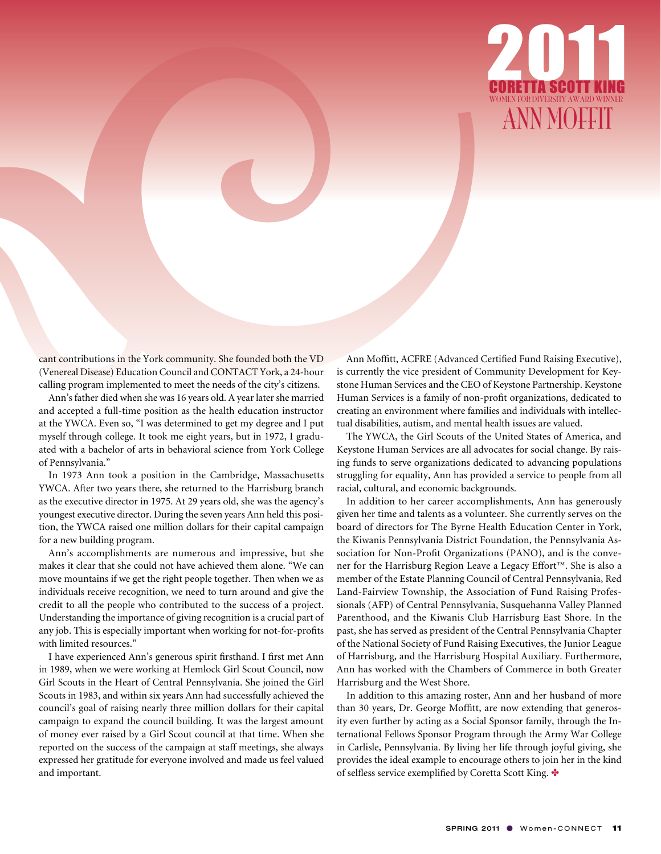

cant contributions in the York community. She founded both the VD (Venereal Disease) Education Council and CONTACT York, a 24-hour calling program implemented to meet the needs of the city's citizens.

Ann's father died when she was 16 years old. A year later she married and accepted a full-time position as the health education instructor at the YWCA. Even so, "I was determined to get my degree and I put myself through college. It took me eight years, but in 1972, I graduated with a bachelor of arts in behavioral science from York College of Pennsylvania."

In 1973 Ann took a position in the Cambridge, Massachusetts YWCA. After two years there, she returned to the Harrisburg branch as the executive director in 1975. At 29 years old, she was the agency's youngest executive director. During the seven years Ann held this position, the YWCA raised one million dollars for their capital campaign for a new building program.

Ann's accomplishments are numerous and impressive, but she makes it clear that she could not have achieved them alone. "We can move mountains if we get the right people together. Then when we as individuals receive recognition, we need to turn around and give the credit to all the people who contributed to the success of a project. Understanding the importance of giving recognition is a crucial part of any job. This is especially important when working for not-for-profits with limited resources."

I have experienced Ann's generous spirit firsthand. I first met Ann in 1989, when we were working at Hemlock Girl Scout Council, now Girl Scouts in the Heart of Central Pennsylvania. She joined the Girl Scouts in 1983, and within six years Ann had successfully achieved the council's goal of raising nearly three million dollars for their capital campaign to expand the council building. It was the largest amount of money ever raised by a Girl Scout council at that time. When she reported on the success of the campaign at staff meetings, she always expressed her gratitude for everyone involved and made us feel valued and important.

Ann Moffitt, ACFRE (Advanced Certified Fund Raising Executive), is currently the vice president of Community Development for Keystone Human Services and the CEO of Keystone Partnership. Keystone Human Services is a family of non-profit organizations, dedicated to creating an environment where families and individuals with intellectual disabilities, autism, and mental health issues are valued.

The YWCA, the Girl Scouts of the United States of America, and Keystone Human Services are all advocates for social change. By raising funds to serve organizations dedicated to advancing populations struggling for equality, Ann has provided a service to people from all racial, cultural, and economic backgrounds.

In addition to her career accomplishments, Ann has generously given her time and talents as a volunteer. She currently serves on the board of directors for The Byrne Health Education Center in York, the Kiwanis Pennsylvania District Foundation, the Pennsylvania Association for Non-Profit Organizations (PANO), and is the convener for the Harrisburg Region Leave a Legacy Effort™. She is also a member of the Estate Planning Council of Central Pennsylvania, Red Land-Fairview Township, the Association of Fund Raising Professionals (AFP) of Central Pennsylvania, Susquehanna Valley Planned Parenthood, and the Kiwanis Club Harrisburg East Shore. In the past, she has served as president of the Central Pennsylvania Chapter of the National Society of Fund Raising Executives, the Junior League of Harrisburg, and the Harrisburg Hospital Auxiliary. Furthermore, Ann has worked with the Chambers of Commerce in both Greater Harrisburg and the West Shore.

In addition to this amazing roster, Ann and her husband of more than 30 years, Dr. George Moffitt, are now extending that generosity even further by acting as a Social Sponsor family, through the International Fellows Sponsor Program through the Army War College in Carlisle, Pennsylvania. By living her life through joyful giving, she provides the ideal example to encourage others to join her in the kind of selfless service exemplified by Coretta Scott King.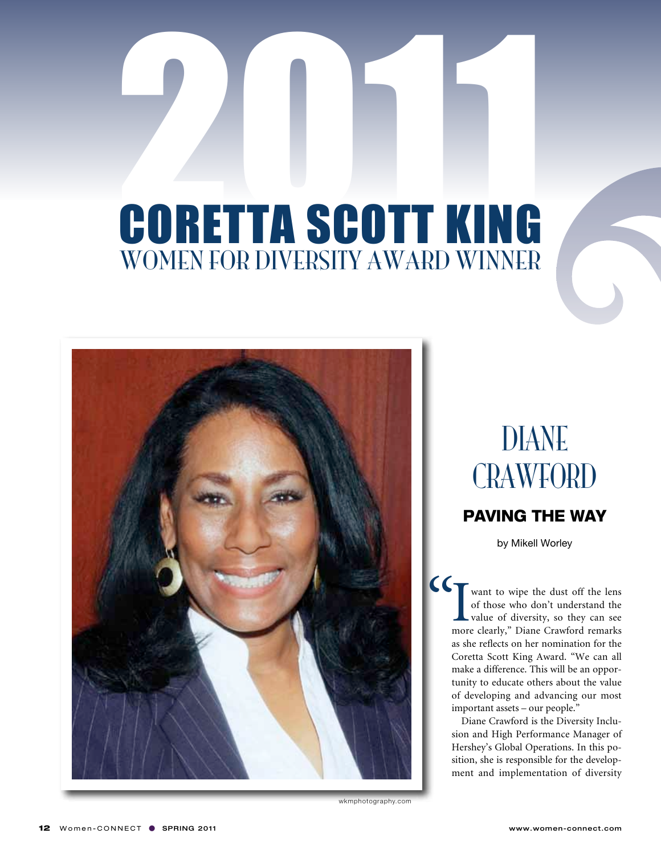

wkmphotography.com

## **DIANE CRAWFORD**

#### paving the way

by Mikell Worley

I<sub>more</sub> want to wipe the dust off the lens of those who don't understand the value of diversity, so they can see more clearly," Diane Crawford remarks as she reflects on her nomination for the Coretta Scott King Award. "We can all make a difference. This will be an opportunity to educate others about the value of developing and advancing our most important assets – our people." "

> Diane Crawford is the Diversity Inclusion and High Performance Manager of Hershey's Global Operations. In this position, she is responsible for the development and implementation of diversity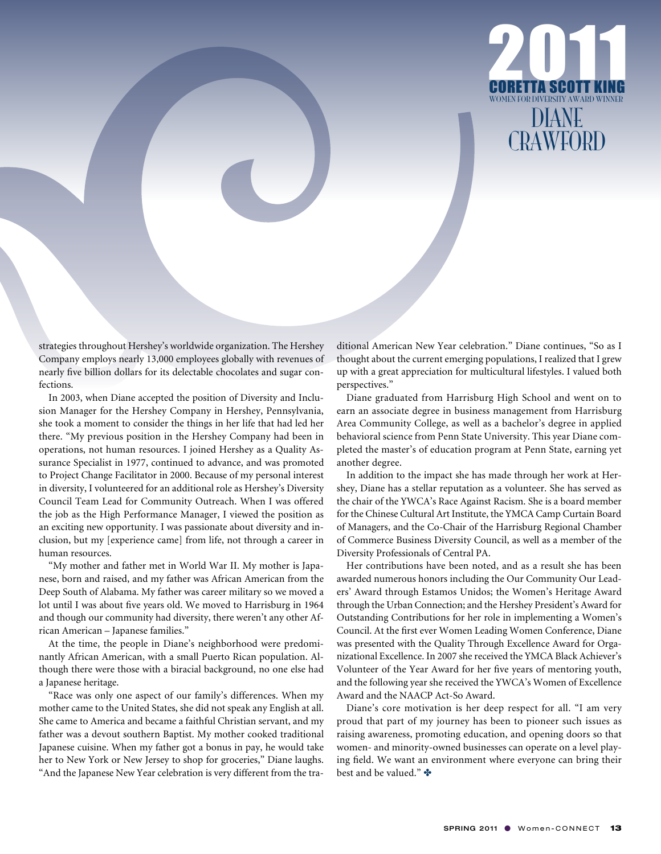

strategies throughout Hershey's worldwide organization. The Hershey Company employs nearly 13,000 employees globally with revenues of nearly five billion dollars for its delectable chocolates and sugar confections.

In 2003, when Diane accepted the position of Diversity and Inclusion Manager for the Hershey Company in Hershey, Pennsylvania, she took a moment to consider the things in her life that had led her there. "My previous position in the Hershey Company had been in operations, not human resources. I joined Hershey as a Quality Assurance Specialist in 1977, continued to advance, and was promoted to Project Change Facilitator in 2000. Because of my personal interest in diversity, I volunteered for an additional role as Hershey's Diversity Council Team Lead for Community Outreach. When I was offered the job as the High Performance Manager, I viewed the position as an exciting new opportunity. I was passionate about diversity and inclusion, but my [experience came] from life, not through a career in human resources.

"My mother and father met in World War II. My mother is Japanese, born and raised, and my father was African American from the Deep South of Alabama. My father was career military so we moved a lot until I was about five years old. We moved to Harrisburg in 1964 and though our community had diversity, there weren't any other African American – Japanese families."

At the time, the people in Diane's neighborhood were predominantly African American, with a small Puerto Rican population. Although there were those with a biracial background, no one else had a Japanese heritage.

"Race was only one aspect of our family's differences. When my mother came to the United States, she did not speak any English at all. She came to America and became a faithful Christian servant, and my father was a devout southern Baptist. My mother cooked traditional Japanese cuisine. When my father got a bonus in pay, he would take her to New York or New Jersey to shop for groceries," Diane laughs. "And the Japanese New Year celebration is very different from the traditional American New Year celebration." Diane continues, "So as I thought about the current emerging populations, I realized that I grew up with a great appreciation for multicultural lifestyles. I valued both perspectives."

Diane graduated from Harrisburg High School and went on to earn an associate degree in business management from Harrisburg Area Community College, as well as a bachelor's degree in applied behavioral science from Penn State University. This year Diane completed the master's of education program at Penn State, earning yet another degree.

In addition to the impact she has made through her work at Hershey, Diane has a stellar reputation as a volunteer. She has served as the chair of the YWCA's Race Against Racism. She is a board member for the Chinese Cultural Art Institute, the YMCA Camp Curtain Board of Managers, and the Co-Chair of the Harrisburg Regional Chamber of Commerce Business Diversity Council, as well as a member of the Diversity Professionals of Central PA.

Her contributions have been noted, and as a result she has been awarded numerous honors including the Our Community Our Leaders' Award through Estamos Unidos; the Women's Heritage Award through the Urban Connection; and the Hershey President's Award for Outstanding Contributions for her role in implementing a Women's Council. At the first ever Women Leading Women Conference, Diane was presented with the Quality Through Excellence Award for Organizational Excellence. In 2007 she received the YMCA Black Achiever's Volunteer of the Year Award for her five years of mentoring youth, and the following year she received the YWCA's Women of Excellence Award and the NAACP Act-So Award.

Diane's core motivation is her deep respect for all. "I am very proud that part of my journey has been to pioneer such issues as raising awareness, promoting education, and opening doors so that women- and minority-owned businesses can operate on a level playing field. We want an environment where everyone can bring their best and be valued."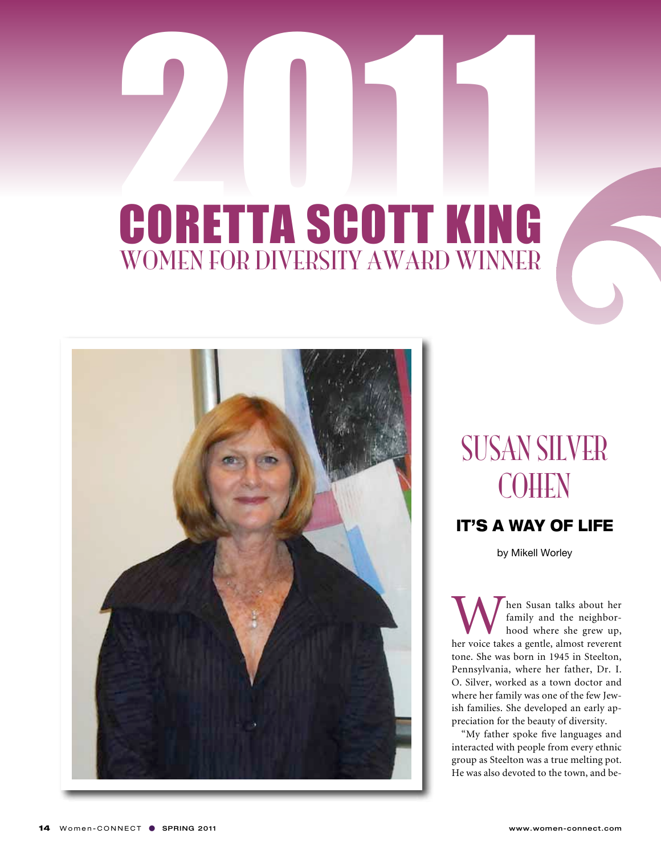

susan silver COHEN

#### it's a way of life

by Mikell Worley

When Susan talks about her<br>
family and the neighbor-<br>
hood where she grew up,<br>
her voice takes a gentle, almost reverent family and the neighborhood where she grew up, tone. She was born in 1945 in Steelton, Pennsylvania, where her father, Dr. I. O. Silver, worked as a town doctor and where her family was one of the few Jewish families. She developed an early appreciation for the beauty of diversity.

"My father spoke five languages and interacted with people from every ethnic group as Steelton was a true melting pot. He was also devoted to the town, and be-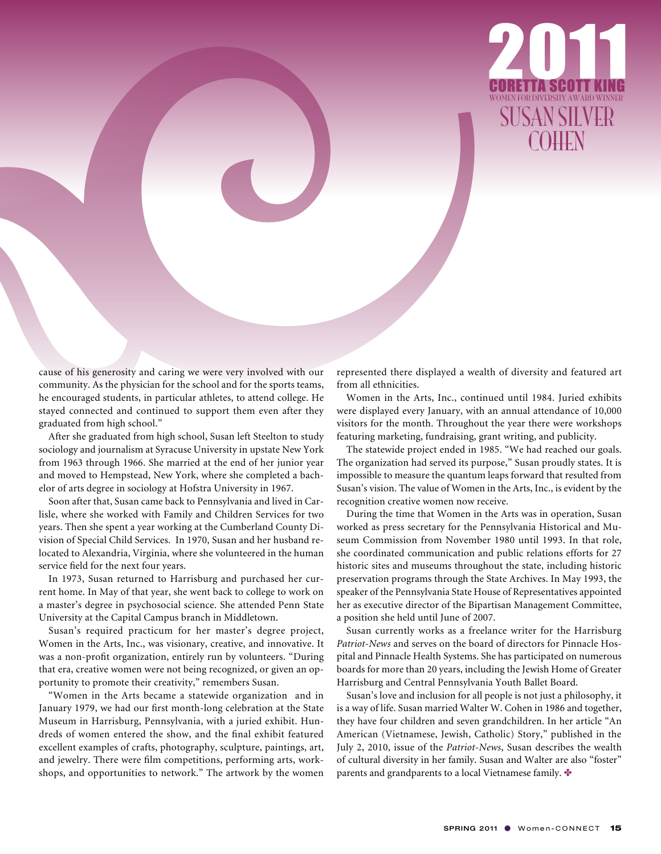

cause of his generosity and caring we were very involved with our community. As the physician for the school and for the sports teams, he encouraged students, in particular athletes, to attend college. He stayed connected and continued to support them even after they graduated from high school."

After she graduated from high school, Susan left Steelton to study sociology and journalism at Syracuse University in upstate New York from 1963 through 1966. She married at the end of her junior year and moved to Hempstead, New York, where she completed a bachelor of arts degree in sociology at Hofstra University in 1967.

Soon after that, Susan came back to Pennsylvania and lived in Carlisle, where she worked with Family and Children Services for two years. Then she spent a year working at the Cumberland County Division of Special Child Services. In 1970, Susan and her husband relocated to Alexandria, Virginia, where she volunteered in the human service field for the next four years.

In 1973, Susan returned to Harrisburg and purchased her current home. In May of that year, she went back to college to work on a master's degree in psychosocial science. She attended Penn State University at the Capital Campus branch in Middletown.

Susan's required practicum for her master's degree project, Women in the Arts, Inc., was visionary, creative, and innovative. It was a non-profit organization, entirely run by volunteers. "During that era, creative women were not being recognized, or given an opportunity to promote their creativity," remembers Susan.

"Women in the Arts became a statewide organization and in January 1979, we had our first month-long celebration at the State Museum in Harrisburg, Pennsylvania, with a juried exhibit. Hundreds of women entered the show, and the final exhibit featured excellent examples of crafts, photography, sculpture, paintings, art, and jewelry. There were film competitions, performing arts, workshops, and opportunities to network." The artwork by the women represented there displayed a wealth of diversity and featured art from all ethnicities.

Women in the Arts, Inc., continued until 1984. Juried exhibits were displayed every January, with an annual attendance of 10,000 visitors for the month. Throughout the year there were workshops featuring marketing, fundraising, grant writing, and publicity.

The statewide project ended in 1985. "We had reached our goals. The organization had served its purpose," Susan proudly states. It is impossible to measure the quantum leaps forward that resulted from Susan's vision. The value of Women in the Arts, Inc., is evident by the recognition creative women now receive.

During the time that Women in the Arts was in operation, Susan worked as press secretary for the Pennsylvania Historical and Museum Commission from November 1980 until 1993. In that role, she coordinated communication and public relations efforts for 27 historic sites and museums throughout the state, including historic preservation programs through the State Archives. In May 1993, the speaker of the Pennsylvania State House of Representatives appointed her as executive director of the Bipartisan Management Committee, a position she held until June of 2007.

Susan currently works as a freelance writer for the Harrisburg *Patriot-News* and serves on the board of directors for Pinnacle Hospital and Pinnacle Health Systems. She has participated on numerous boards for more than 20 years, including the Jewish Home of Greater Harrisburg and Central Pennsylvania Youth Ballet Board.

Susan's love and inclusion for all people is not just a philosophy, it is a way of life. Susan married Walter W. Cohen in 1986 and together, they have four children and seven grandchildren. In her article "An American (Vietnamese, Jewish, Catholic) Story," published in the July 2, 2010, issue of the *Patriot-News*, Susan describes the wealth of cultural diversity in her family. Susan and Walter are also "foster" parents and grandparents to a local Vietnamese family.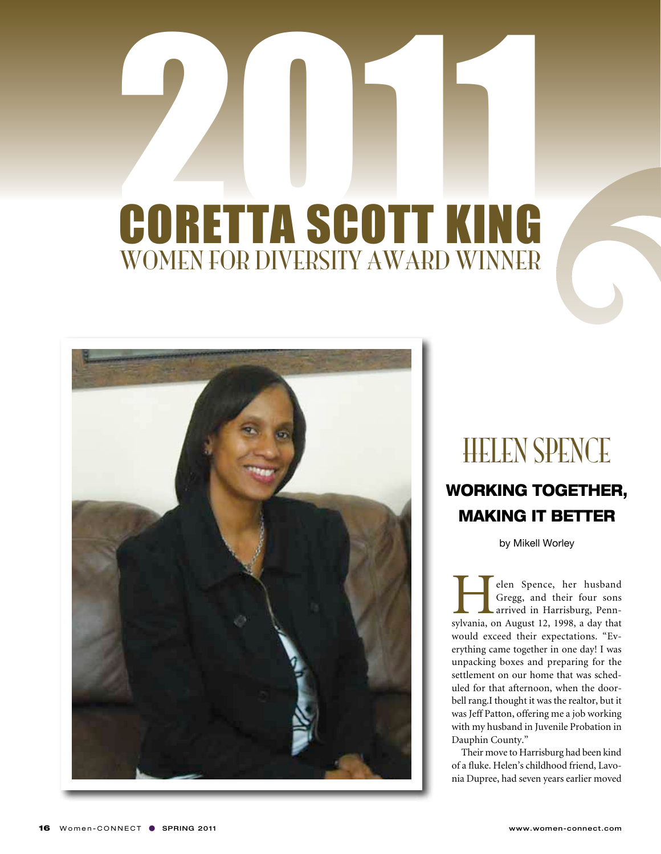

### **HELEN SPENCE**

#### WORKING TOGETHER, making it better

by Mikell Worley

elen Spence, her husband<br>Gregg, and their four sons<br>arrived in Harrisburg, Penn-<br>sylvania, on August 12, 1998, a day that Gregg, and their four sons arrived in Harrisburg, Pennsylvania, on August 12, 1998, a day that would exceed their expectations. "Everything came together in one day! I was unpacking boxes and preparing for the settlement on our home that was scheduled for that afternoon, when the doorbell rang.I thought it was the realtor, but it was Jeff Patton, offering me a job working with my husband in Juvenile Probation in Dauphin County."

Their move to Harrisburg had been kind of a fluke. Helen's childhood friend, Lavonia Dupree, had seven years earlier moved